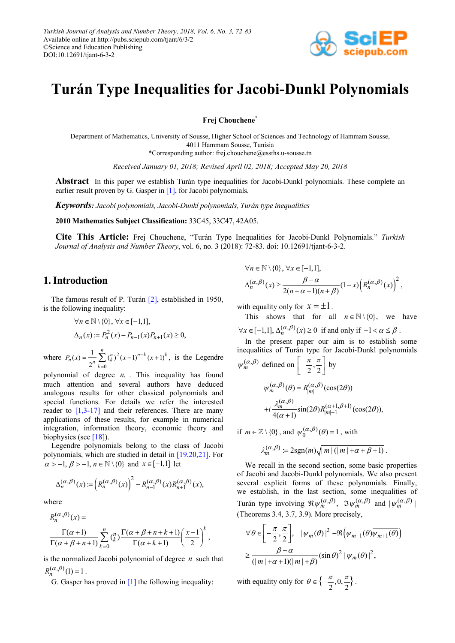

# **Turán Type Inequalities for Jacobi-Dunkl Polynomials**

**Frej Chouchene\***

Department of Mathematics, University of Sousse, Higher School of Sciences and Technology of Hammam Sousse, 4011 Hammam Sousse, Tunisia \*Corresponding author: frej.chouchene@essths.u-sousse.tn

*Received January 01, 2018; Revised April 02, 2018; Accepted May 20, 2018*

**Abstract** In this paper we establish Turán type inequalities for Jacobi-Dunkl polynomials. These complete an earlier result proven by G. Gasper i[n \[1\],](#page-10-0) for Jacobi polynomials.

*Keywords: Jacobi polynomials, Jacobi-Dunkl polynomials, Turán type inequalities*

**2010 Mathematics Subject Classification:** 33C45, 33C47, 42A05.

**Cite This Article:** Frej Chouchene, "Turán Type Inequalities for Jacobi-Dunkl Polynomials." *Turkish Journal of Analysis and Number Theory*, vol. 6, no. 3 (2018): 72-83. doi: 10.12691/tjant-6-3-2.

## **1. Introduction**

The famous result of P. Turán [\[2\],](#page-10-1) established in 1950, is the following inequality:

$$
\forall n \in \mathbb{N} \setminus \{0\}, \forall x \in [-1,1],
$$
  

$$
\Delta_n(x) := P_n^2(x) - P_{n-1}(x)P_{n+1}(x) \ge 0,
$$

where  $P_n(x) = \frac{1}{x} \sum_{k=1}^n {n \choose k}^2$  $\boldsymbol{0}$  $f(x) = \frac{1}{x} \sum_{k=1}^{n} {n \choose k}^2 (x-1)^{n-k} (x+1)$ 2  $\sum_{k=0}^{n} {n \choose k}^2 (x-1)^{n-k} (x+1)^k$  $P_n(x) = \frac{1}{2^n} \sum_{k=0}^n {n \choose k}^2 (x-1)^{n-k} (x)$ =  $=\frac{1}{2^n}\sum_{k=1}^n {n \choose k}^2 (x-1)^{n-k} (x+1)^k$ , is the Legendre

polynomial of degree *n*. . This inequality has found much attention and several authors have deduced analogous results for other classical polynomials and special functions. For details we refer the interested reader to  $\left[1,3-17\right]$  and their references. There are many applications of these results, for example in numerical integration, information theory, economic theory and biophysics (see  $[18]$ ).

Legendre polynomials belong to the class of Jacobi polynomials, which are studied in detail in [\[19,20,21\].](#page-11-1) For  $\alpha$  > −1,  $\beta$  > −1,  $n \in \mathbb{N} \setminus \{0\}$  and  $x \in [-1,1]$  let

$$
\Delta_n^{(\alpha,\beta)}(x) := \left(R_n^{(\alpha,\beta)}(x)\right)^2 - R_{n-1}^{(\alpha,\beta)}(x)R_{n+1}^{(\alpha,\beta)}(x),
$$

where

$$
R_n^{(\alpha,\beta)}(x) =
$$
  
\n
$$
\frac{\Gamma(\alpha+1)}{\Gamma(\alpha+\beta+n+1)} \sum_{k=0}^n {n \choose k} \frac{\Gamma(\alpha+\beta+n+k+1)}{\Gamma(\alpha+k+1)} \left(\frac{x-1}{2}\right)^k,
$$

is the normalized Jacobi polynomial of degree *n* such that  $R_n^{(\alpha,\beta)}(1) = 1$ .

G. Gasper has proved i[n \[1\]](#page-10-0) the following inequality:

$$
\forall n \in \mathbb{N} \setminus \{0\}, \forall x \in [-1, 1],
$$
  

$$
\Delta_n^{(\alpha, \beta)}(x) \ge \frac{\beta - \alpha}{2(n + \alpha + 1)(n + \beta)} (1 - x) \left( R_n^{(\alpha, \beta)}(x) \right)^2,
$$

with equality only for  $x = \pm 1$ .

This shows that for all  $n \in \mathbb{N} \setminus \{0\}$ , we have  $\forall x \in [-1,1], \Delta_n^{(\alpha,\beta)}(x) \ge 0$  if and only if  $-1 < \alpha \le \beta$ .

In the present paper our aim is to establish some inequalities of Turán type for Jacobi-Dunkl polynomials

$$
\psi_m^{(\alpha,\beta)} \text{ defined on } \left[ -\frac{\pi}{2}, \frac{\pi}{2} \right] \text{ by}
$$

$$
\psi_m^{(\alpha,\beta)}(\theta) = R_{|m|}^{(\alpha,\beta)}(\cos(2\theta))
$$

$$
+i\frac{\lambda_m^{(\alpha,\beta)}}{4(\alpha+1)}\sin(2\theta)R_{|m|-1}^{(\alpha+1,\beta+1)}(\cos(2\theta)),
$$

if  $m \in \mathbb{Z} \setminus \{0\}$ , and  $\psi_0^{(\alpha,\beta)}(\theta) = 1$ , with

$$
\lambda_m^{(\alpha,\beta)} := 2\text{sgn}(m)\sqrt{|m|(|m|+\alpha+\beta+1)}.
$$

We recall in the second section, some basic properties of Jacobi and Jacobi-Dunkl polynomials. We also present several explicit forms of these polynomials. Finally, we establish, in the last section, some inequalities of Turán type involving  $\mathcal{R}\psi_m^{(\alpha,\beta)}$ ,  $\mathcal{S}\psi_m^{(\alpha,\beta)}$  and  $|\psi_m^{(\alpha,\beta)}|$ (Theorems 3.4, 3.7, 3.9). More precisely,

$$
\forall \theta \in \left[ -\frac{\pi}{2}, \frac{\pi}{2} \right], \quad |\psi_m(\theta)|^2 - \Re \left( \psi_{m-1}(\theta) \overline{\psi_{m+1}(\theta)} \right)
$$

$$
\geq \frac{\beta - \alpha}{(|m| + \alpha + 1)(|m| + \beta)} (\sin \theta)^2 |\psi_m(\theta)|^2,
$$

with equality only for  $\theta \in \left\{-\frac{\pi}{2}, 0, \frac{\pi}{2}\right\}$ .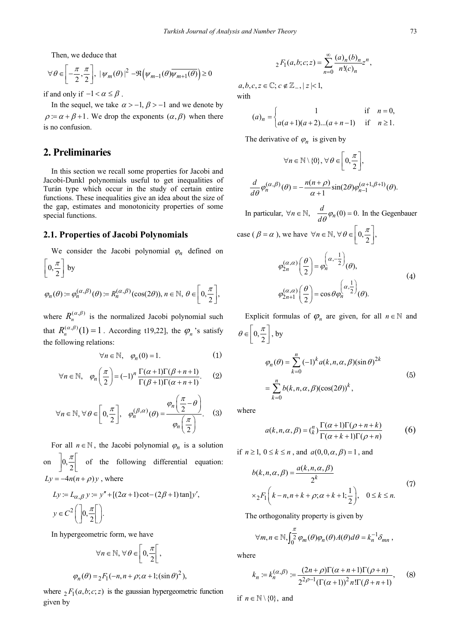Then, we deduce that

$$
\forall \theta \in \left[ -\frac{\pi}{2}, \frac{\pi}{2} \right], \ |\psi_m(\theta)|^2 - \Re \left( \psi_{m-1}(\theta) \overline{\psi_{m+1}(\theta)} \right) \ge 0
$$

if and only if  $-1 < \alpha \leq \beta$ .

In the sequel, we take  $\alpha > -1$ ,  $\beta > -1$  and we denote by  $\rho = \alpha + \beta + 1$ . We drop the exponents  $(\alpha, \beta)$  when there is no confusion.

## **2. Preliminaries**

In this section we recall some properties for Jacobi and Jacobi-Dunkl polynomials useful to get inequalities of Turán type which occur in the study of certain entire functions. These inequalities give an idea about the size of the gap, estimates and monotonicity properties of some special functions.

#### **2.1. Properties of Jacobi Polynomials**

We consider the Jacobi polynomial 
$$
\varphi_n
$$
 defined on  
\n
$$
\left[0, \frac{\pi}{2}\right]
$$
 by  
\n
$$
\varphi_n(\theta) := \varphi_n^{(\alpha, \beta)}(\theta) := R_n^{(\alpha, \beta)}(\cos(2\theta)), n \in \mathbb{N}, \theta \in \left[0, \frac{\pi}{2}\right],
$$

where  $R_n^{(\alpha,\beta)}$  is the normalized Jacobi polynomial such that  $R_n^{(\alpha,\beta)}(1) = 1$ . According t19,22], the  $\varphi_n$ 's satisfy the following relations:

$$
\forall n \in \mathbb{N}, \quad \varphi_n(0) = 1. \tag{1}
$$

$$
\forall n \in \mathbb{N}, \quad \varphi_n\left(\frac{\pi}{2}\right) = (-1)^n \frac{\Gamma(\alpha+1)\Gamma(\beta+n+1)}{\Gamma(\beta+1)\Gamma(\alpha+n+1)}.\tag{2}
$$

$$
\forall n \in \mathbb{N}, \forall \theta \in \left[0, \frac{\pi}{2}\right], \quad \varphi_n^{(\beta, \alpha)}(\theta) = \frac{\varphi_n\left(\frac{\pi}{2} - \theta\right)}{\varphi_n\left(\frac{\pi}{2}\right)}.
$$
 (3)

For all  $n \in \mathbb{N}$ , the Jacobi polynomial  $\varphi_n$  is a solution on  $\left| 0, \frac{\pi}{2} \right|$  of the following differential equation:  $Lv = -4n(n + \rho)y$ , where

$$
Ly := L_{\alpha,\beta} y := y'' + [(2\alpha + 1)\cot - (2\beta + 1)\tan]y',
$$
  

$$
y \in C^2 \left( \left[ 0, \frac{\pi}{2} \right] \right).
$$

In hypergeometric form, we have

$$
\forall n \in \mathbb{N}, \forall \theta \in \left[0, \frac{\pi}{2}\right[,
$$

$$
\varphi_n(\theta) = {}_2F_1(-n, n+\rho; \alpha+1; (\sin \theta)^2),
$$

where  ${}_{2}F_{1}(a,b;c;z)$  is the gaussian hypergeometric function given by

$$
{}_2F_1(a,b;c;z) = \sum_{n=0}^{\infty} \frac{(a)_n (b)_n}{n!(c)_n} z^n,
$$

 $a, b, c, z \in \mathbb{C}$ ;  $c \notin \mathbb{Z}_{-}$ ,  $|z| < 1$ , with

$$
(a)_n = \begin{cases} 1 & \text{if } n = 0, \\ a(a+1)(a+2)...(a+n-1) & \text{if } n \ge 1. \end{cases}
$$

The derivative of  $\varphi_n$  is given by

$$
\forall n \in \mathbb{N} \setminus \{0\}, \forall \theta \in \left[0, \frac{\pi}{2}\right],
$$

$$
\frac{d}{d\theta}\varphi_n^{(\alpha,\beta)}(\theta) = -\frac{n(n+\rho)}{\alpha+1}\sin(2\theta)\varphi_{n-1}^{(\alpha+1,\beta+1)}(\theta).
$$

In particular,  $\forall n \in \mathbb{N}$ ,  $\frac{d}{d\theta} \varphi_n(0) = 0$ . In the Gegenbauer

case (
$$
\beta = \alpha
$$
), we have  $\forall n \in \mathbb{N}, \forall \theta \in \left[0, \frac{\pi}{2}\right]$ ,

$$
\varphi_{2n}^{(\alpha,\alpha)}\left(\frac{\theta}{2}\right) = \varphi_n^{\left(\alpha,\frac{1}{2}\right)}(\theta),
$$
\n
$$
\varphi_{2n+1}^{(\alpha,\alpha)}\left(\frac{\theta}{2}\right) = \cos\theta \varphi_n^{\left(\alpha,\frac{1}{2}\right)}(\theta).
$$
\n(4)

Explicit formulas of  $\varphi_n$  are given, for all  $n \in \mathbb{N}$  and  $\theta \in \left[0, \frac{\pi}{2}\right],$  by

$$
\varphi_n(\theta) = \sum_{k=0}^n (-1)^k a(k, n, \alpha, \beta)(\sin \theta)^{2k}
$$
  
= 
$$
\sum_{k=0}^n b(k, n, \alpha, \beta)(\cos(2\theta))^k,
$$
 (5)

where

$$
a(k, n, \alpha, \beta) = {n \choose k} \frac{\Gamma(\alpha+1)\Gamma(\beta+n+k)}{\Gamma(\alpha+k+1)\Gamma(\beta+n)}
$$
(6)

if  $n \geq 1$ ,  $0 \leq k \leq n$ , and  $a(0,0,\alpha,\beta) = 1$ , and

$$
b(k, n, \alpha, \beta) = \frac{a(k, n, \alpha, \beta)}{2^k}
$$
  
 
$$
\times {}_2F_1\left(k - n, n + k + \rho; \alpha + k + 1; \frac{1}{2}\right), \quad 0 \le k \le n.
$$
 (7)

The orthogonality property is given by

$$
\forall m, n \in \mathbb{N}, \int_0^{\frac{\pi}{2}} \varphi_m(\theta) \varphi_n(\theta) A(\theta) d\theta = k_n^{-1} \delta_{mn},
$$

where

$$
k_n := k_n^{(\alpha,\beta)} := \frac{(2n+\rho)\Gamma(\alpha+n+1)\Gamma(\rho+n)}{2^{2\rho-1}(\Gamma(\alpha+1))^2 n! \Gamma(\beta+n+1)},
$$
 (8)

if  $n \in \mathbb{N} \setminus \{0\}$ , and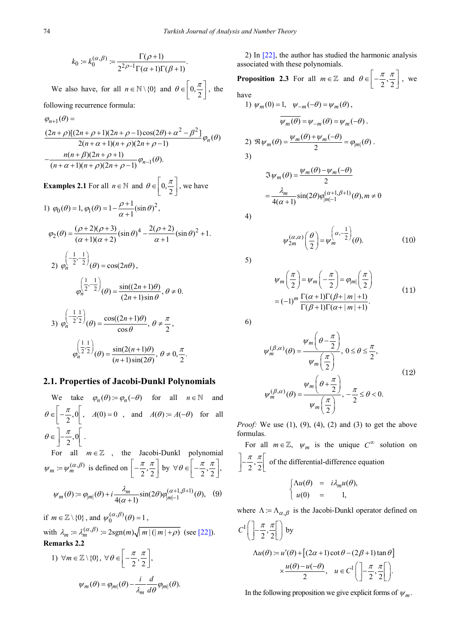$$
k_0:=k_0^{(\alpha,\beta)}:=\frac{\Gamma(\rho+1)}{2^{2\rho-1}\Gamma(\alpha+1)\Gamma(\beta+1)}.
$$

We also have, for all  $n \in \mathbb{N} \setminus \{0\}$  and  $\theta \in \left[0, \frac{\pi}{2}\right]$ , the following recurrence formula:

$$
\varphi_{n+1}(\theta) =
$$
\n
$$
\frac{(2n+\rho)[(2n+\rho+1)(2n+\rho-1)\cos(2\theta)+\alpha^2-\beta^2]}{2(n+\alpha+1)(n+\rho)(2n+\rho-1)}\varphi_n(\theta)
$$
\n
$$
-\frac{n(n+\beta)(2n+\rho+1)}{(n+\alpha+1)(n+\rho)(2n+\rho-1)}\varphi_{n-1}(\theta).
$$

**Examples 2.1** For all 
$$
n \in \mathbb{N}
$$
 and  $\theta \in \left[0, \frac{\pi}{2}\right]$ , we have  
\n1)  $\varphi_0(\theta) = 1$ ,  $\varphi_1(\theta) = 1 - \frac{\rho + 1}{\alpha + 1} (\sin \theta)^2$ ,  
\n
$$
\varphi_2(\theta) = \frac{(\rho + 2)(\rho + 3)}{(\alpha + 1)(\alpha + 2)} (\sin \theta)^4 - \frac{2(\rho + 2)}{\alpha + 1} (\sin \theta)^2 + 1.
$$
\n2)  $\varphi_n^{\left(-\frac{1}{2}, -\frac{1}{2}\right)}(\theta) = \cos(2n\theta)$ ,  
\n
$$
\varphi_n^{\left(\frac{1}{2}, -\frac{1}{2}\right)}(\theta) = \frac{\sin((2n+1)\theta)}{(2n+1)\sin \theta}, \theta \neq 0.
$$
\n3)  $\varphi_n^{\left(-\frac{1}{2}, \frac{1}{2}\right)}(\theta) = \frac{\cos((2n+1)\theta)}{\cos \theta}, \theta \neq \frac{\pi}{2},$   
\n
$$
\varphi_n^{\left(\frac{1}{2}, \frac{1}{2}\right)}(\theta) = \frac{\sin(2(n+1)\theta)}{(n+1)\sin(2\theta)}, \theta \neq 0, \frac{\pi}{2}.
$$

#### **2.1. Properties of Jacobi-Dunkl Polynomials**

We take  $\varphi_n(\theta) := \varphi_n(-\theta)$  for all  $n \in \mathbb{N}$  and  $\theta \in \left[-\frac{\pi}{2}, 0\right], \quad A(0) = 0$ , and  $A(\theta) = A(-\theta)$  for all  $\frac{\pi}{2}$ , 0  $\theta \in \left[-\frac{\pi}{2}, 0\right]$ .

For all  $m \in \mathbb{Z}$ , the Jacobi-Dunkl polynomial  $\psi_m := \psi_m^{(\alpha,\beta)}$  is defined on  $\left[-\frac{\pi}{2}, \frac{\pi}{2}\right]$  $\left[-\frac{\pi}{2},\frac{\pi}{2}\right]$  by  $\forall \theta \in \left[-\frac{\pi}{2},\frac{\pi}{2}\right],$  $\psi_m(\theta) := \varphi_{|m|}(\theta) + i \frac{\lambda_m}{4(\alpha+1)} sin(2\theta) \varphi_{|m|-1}^{(\alpha+1,\beta+1)}(\theta),$  $= \varphi_{|m|}(\theta) + i \frac{\lambda_m}{4(\alpha+1)} sin(2\theta) \varphi_{|m|-1}^{(\alpha+1,\beta+1)}(\theta),$  (9)

if 
$$
m \in \mathbb{Z} \setminus \{0\}
$$
, and  $\psi_0^{(\alpha,\beta)}(\theta) = 1$ ,  
with  $\lambda_m := \lambda_m^{(\alpha,\beta)} := 2\text{sgn}(m)\sqrt{|m|(|m| + \rho)}$  (see [22]).  
**Remarks 2.2**

1) 
$$
\forall m \in \mathbb{Z} \setminus \{0\}, \ \forall \theta \in \left[-\frac{\pi}{2}, \frac{\pi}{2}\right],
$$
  

$$
\psi_m(\theta) = \varphi_{|m|}(\theta) - \frac{i}{\lambda_m} \frac{d}{d\theta} \varphi_{|m|}(\theta).
$$

2) In [\[22\],](#page-11-2) the author has studied the harmonic analysis associated with these polynomials.

**Proposition 2.3** For all  $m \in \mathbb{Z}$  and  $\theta \in \left[-\frac{\pi}{2}, \frac{\pi}{2}\right]$  $\theta \in \left[-\frac{\pi}{2}, \frac{\pi}{2}\right], \text{ we}$ have

1) 
$$
\psi_m(0) = 1, \quad \psi_{-m}(-\theta) = \psi_m(\theta),
$$
  
\n
$$
\overline{\psi_m(\theta)} = \psi_{-m}(\theta) = \psi_m(-\theta).
$$
  
\n2)  $\Re \psi_m(\theta) = \frac{\psi_m(\theta) + \psi_m(-\theta)}{2} = \varphi_{|m|}(\theta).$   
\n3)  
\n
$$
\Im \psi_m(\theta) = \frac{\psi_m(\theta) - \psi_m(-\theta)}{2}
$$

 $=\frac{m}{4(\alpha+1)}\sin(2\theta)\varphi_{|m|-1}^{(\alpha+1,\beta+1)}(\theta), m\neq$ 

$$
4)
$$

$$
\psi_{2m}^{(\alpha,\alpha)}\left(\frac{\theta}{2}\right) = \psi_m^{\left(\alpha,-\frac{1}{2}\right)}(\theta). \tag{10}
$$

 $(\alpha+1, \beta+1)$  $\frac{\lambda_m}{4(\alpha+1)}\sin(2\theta)\varphi_{|m|-1}^{(\alpha+1,\beta+1)}(\theta), m\neq 0$ 

 $+1, \beta +$ 

5)

$$
\psi_m\left(\frac{\pi}{2}\right) = \psi_m\left(-\frac{\pi}{2}\right) = \varphi_{|m|}\left(\frac{\pi}{2}\right)
$$
  
=  $(-1)^m \frac{\Gamma(\alpha+1)\Gamma(\beta+|m|+1)}{\Gamma(\beta+1)\Gamma(\alpha+|m|+1)}.$  (11)

6)

$$
\psi_m^{(\beta,\alpha)}(\theta) = \frac{\psi_m\left(\theta - \frac{\pi}{2}\right)}{\psi_m\left(\frac{\pi}{2}\right)}, 0 \le \theta \le \frac{\pi}{2},
$$
\n
$$
\psi_m^{(\beta,\alpha)}(\theta) = \frac{\psi_m\left(\theta + \frac{\pi}{2}\right)}{\psi_m\left(\frac{\pi}{2}\right)}, -\frac{\pi}{2} \le \theta < 0.
$$
\n
$$
(12)
$$

*Proof:* We use (1), (9), (4), (2) and (3) to get the above formulas.

For all  $m \in \mathbb{Z}$ ,  $\psi_m$  is the unique  $C^{\infty}$  solution on  $\frac{\pi}{2}, \frac{\pi}{2}$  $\left[-\frac{\pi}{2}, \frac{\pi}{2}\right]$  of the differential-difference equation

$$
\begin{cases}\n\Lambda u(\theta) & = i\lambda_m u(\theta), \\
u(0) & = 1,\n\end{cases}
$$

where  $\Lambda = \Lambda_{\alpha,\beta}$  is the Jacobi-Dunkl operator defined on

$$
C^{1}\left(\left[-\frac{\pi}{2}, \frac{\pi}{2}\right]\right) \text{ by}
$$
  
 
$$
\Lambda u(\theta) := u'(\theta) + \left[(2\alpha + 1)\cot \theta - (2\beta + 1)\tan \theta\right]
$$
  
 
$$
\times \frac{u(\theta) - u(-\theta)}{2}, \quad u \in C^{1}\left(\left[-\frac{\pi}{2}, \frac{\pi}{2}\right]\right).
$$

In the following proposition we give explicit forms of  $\psi_m$ .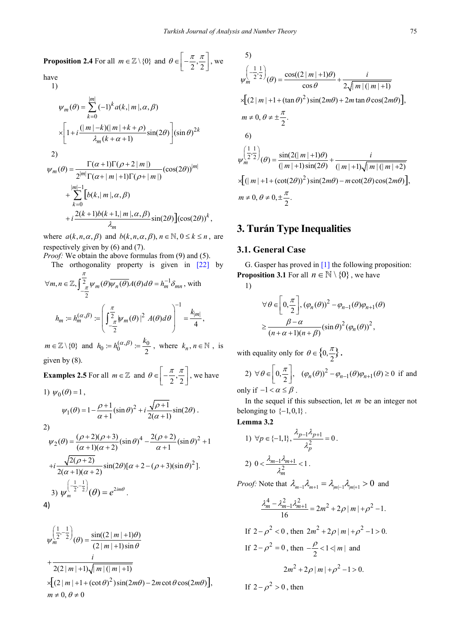**Proposition 2.4** For all  $m \in \mathbb{Z} \setminus \{0\}$  and  $\theta \in \left[-\frac{\pi}{2}, \frac{\pi}{2}\right]$  $\theta \in \left[-\frac{\pi}{2}, \frac{\pi}{2}\right],$  we

have 1)

$$
\psi_m(\theta) = \sum_{k=0}^{|m|} (-1)^k a(k, |m|, \alpha, \beta)
$$

$$
\times \left[ 1 + i \frac{(|m| - k)(|m| + k + \rho)}{\lambda_m (k + \alpha + 1)} sin(2\theta) \right] (sin \theta)^{2k}
$$
  
2)

$$
\psi_m(\theta) = \frac{\Gamma(\alpha+1)\Gamma(\rho+2|m|)}{2^{|m|}\Gamma(\alpha+|m|+1)\Gamma(\rho+|m|)} (\cos(2\theta))^{|m|}
$$
  
+ 
$$
\sum_{k=0}^{|m|-1} [b(k, |m|, \alpha, \beta)
$$
  
+ 
$$
i \frac{2(k+1)b(k+1, |m|, \alpha, \beta)}{\lambda_m} \sin(2\theta) [ \cos(2\theta))^k,
$$

where  $a(k, n, \alpha, \beta)$  and  $b(k, n, \alpha, \beta)$ ,  $n \in \mathbb{N}, 0 \le k \le n$ , are respectively given by (6) and (7).

*Proof:* We obtain the above formulas from (9) and (5).

The orthogonality property is given in [\[22\]](#page-11-2) by  $\pi$ 

$$
\forall m, n \in \mathbb{Z}, \int_{-\frac{\pi}{2}}^{\frac{\pi}{2}} \psi_m(\theta) \overline{\psi_n(\theta)} A(\theta) d\theta = h_m^{-1} \delta_{mn}, \text{ with}
$$

$$
h_m := h_m^{(\alpha, \beta)} := \left( \int_{-\frac{\pi}{2}}^{\frac{\pi}{2}} \psi_m(\theta) \, |^2 A(\theta) d\theta \right)^{-1} = \frac{k_{|m|}}{4},
$$

 $m \in \mathbb{Z} \setminus \{0\}$  and  $h_0 := h_0^{(\alpha,\beta)} := \frac{k_0}{2}$ , where  $k_n, n \in \mathbb{N}$ , is given by (8).

**Examples 2.5** For all  $m \in \mathbb{Z}$  and  $\theta \in \left[-\frac{\pi}{2}, \frac{\pi}{2}\right]$  $\theta \in \left[-\frac{\pi}{2}, \frac{\pi}{2}\right]$ , we have

1)  $\psi_0(\theta) = 1$ ,

$$
\psi_1(\theta) = 1 - \frac{\rho + 1}{\alpha + 1} (\sin \theta)^2 + i \frac{\sqrt{\rho + 1}}{2(\alpha + 1)} \sin(2\theta).
$$

2)  
\n
$$
\psi_2(\theta) = \frac{(\rho+2)(\rho+3)}{(\alpha+1)(\alpha+2)} (\sin \theta)^4 - \frac{2(\rho+2)}{\alpha+1} (\sin \theta)^2 + 1
$$
\n
$$
+i \frac{\sqrt{2(\rho+2)}}{2(\alpha+1)(\alpha+2)} \sin(2\theta) [\alpha+2-(\rho+3)(\sin \theta)^2].
$$
\n3)  
\n
$$
\psi_m^{\left(-\frac{1}{2},-\frac{1}{2}\right)}(\theta) = e^{2im\theta}.
$$

$$
4)
$$

1 1

$$
\psi_m^{\left(\frac{1}{2}, -\frac{1}{2}\right)}(\theta) = \frac{\sin((2|m|+1)\theta)}{(2|m|+1)\sin\theta} \n+ \frac{i}{2(2|m|+1)\sqrt{|m|(|m|+1)}} \n\times [(2|m|+1+(\cot\theta)^2)\sin(2m\theta) - 2m\cot\theta\cos(2m\theta)],\nm \neq 0, \theta \neq 0
$$

5)  
\n
$$
\psi_m^{\left(-\frac{1}{2},\frac{1}{2}\right)}(\theta) = \frac{\cos((2|m|+1)\theta)}{\cos\theta} + \frac{i}{2\sqrt{|m|(|m|+1)}}
$$
\n
$$
\times [(2|m|+1+(tan\theta)^2)\sin(2m\theta) + 2m\tan\theta\cos(2m\theta)],
$$
\n
$$
m \neq 0, \theta \neq \pm \frac{\pi}{2}.
$$
\n6)  
\n
$$
\psi_m^{\left(\frac{1}{2},\frac{1}{2}\right)}(\theta) = \frac{\sin(2(|m|+1)\theta)}{(|m|+1)\sin(2\theta)} + \frac{i}{(|m|+1)\sqrt{|m|(|m|+2)}}
$$
\n
$$
\times [(|m|+1+(\cot(2\theta))^2)\sin(2m\theta) - m\cot(2\theta)\cos(2m\theta)],
$$
\n
$$
m \neq 0, \theta \neq 0, \pm \frac{\pi}{2}.
$$

# **3. Turán Type Inequalities**

#### **3.1. General Case**

G. Gasper has proved in  $[1]$  the following proposition: **Proposition 3.1** For all  $n \in \mathbb{N} \setminus \{0\}$ , we have

1)

$$
\forall \theta \in \left[0, \frac{\pi}{2}\right], (\varphi_n(\theta))^2 - \varphi_{n-1}(\theta)\varphi_{n+1}(\theta)
$$

$$
\geq \frac{\beta - \alpha}{(n + \alpha + 1)(n + \beta)} (\sin \theta)^2 (\varphi_n(\theta))^2,
$$

with equality only for  $\theta \in \left\{0, \frac{\pi}{2}\right\}$ .

2) 
$$
\forall \theta \in \left[0, \frac{\pi}{2}\right], \quad (\varphi_n(\theta))^2 - \varphi_{n-1}(\theta)\varphi_{n+1}(\theta) \ge 0 \text{ if and}
$$
  
only if  $-1 < \alpha \le \beta$ .

In the sequel if this subsection, let *m* be an integer not belonging to  $\{-1,0,1\}$ .

#### **Lemma 3.2**

1) 
$$
\forall p \in \{-1, 1\}, \frac{\lambda_{p-1}\lambda_{p+1}}{\lambda_p^2} = 0.
$$
  
2)  $0 < \frac{\lambda_{m-1}\lambda_{m+1}}{\lambda_m^2} < 1.$ 

*Proof:* Note that  $\lambda_{m-1} \lambda_{m+1} = \lambda_{|m|-1} \lambda_{|m|+1} > 0$  and

$$
\frac{\lambda_m^4 - \lambda_{m-1}^2 \lambda_{m+1}^2}{16} = 2m^2 + 2\rho |m| + \rho^2 - 1.
$$
  
If  $2 - \rho^2 < 0$ , then  $2m^2 + 2\rho |m| + \rho^2 - 1 > 0$ .  
If  $2 - \rho^2 = 0$ , then  $-\frac{\rho}{2} < 1 < |m|$  and  
 $2m^2 + 2\rho |m| + \rho^2 - 1 > 0$ .

If  $2 - \rho^2 > 0$ , then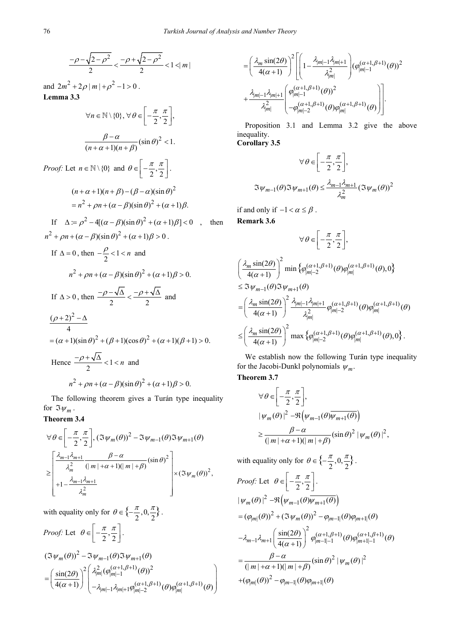$$
\frac{-\rho - \sqrt{2 - \rho^2}}{2} < \frac{-\rho + \sqrt{2 - \rho^2}}{2} < 1 < |m|
$$

and  $2m^2 + 2\rho |m| + \rho^2 - 1 > 0$ . **Lemma 3.3**  $\forall n \in \mathbb{N} \setminus \{0\}, \forall \theta \in \left[-\frac{\pi}{2}, \frac{\pi}{2}\right],$  $\frac{\beta - \alpha}{(n + \alpha + 1)(n + \beta)} (\sin \theta)^2 < 1.$  $\alpha + 1$  $(n + \beta)$  $\frac{\beta-\alpha}{+\alpha+1(n+\beta)}(\sin\theta)^2 <$ *Proof:* Let  $n \in \mathbb{N} \setminus \{0\}$  and  $\theta \in \left[-\frac{\pi}{2}, \frac{\pi}{2}\right]$  $\theta \in \left[-\frac{\pi}{2},\frac{\pi}{2}\right].$  $(n+\alpha+1)(n+\beta)-(\beta-\alpha)(\sin\theta)^2$  $= n^2 + \rho n + (\alpha - \beta)(\sin \theta)^2 + (\alpha + 1)\beta.$ If  $\Delta = \rho^2 - 4[(\alpha - \beta)(\sin \theta)^2 + (\alpha + 1)\beta] < 0$  then  $n^2 + \rho n + (\alpha - \beta)(\sin \theta)^2 + (\alpha + 1)\beta > 0$ . If  $\Delta = 0$ , then  $-\frac{\rho}{2} < 1 < n$  and  $n^2 + \rho n + (\alpha - \beta)(\sin \theta)^2 + (\alpha + 1)\beta > 0.$ If  $\Delta > 0$ , then  $\frac{-\rho - \sqrt{\Delta}}{2} < \frac{-\rho + \sqrt{\Delta}}{2}$  and  $(\rho + 2)^2$  $= (\alpha + 1)(\sin \theta)^2 + (\beta + 1)(\cos \theta)^2 + (\alpha + 1)(\beta + 1) > 0.$ 4  $(\rho+2)^2 - \Delta$ Hence  $\frac{-\rho + \sqrt{\Delta}}{2} < 1 < n$  and  $n^2 + \rho n + (\alpha - \beta)(\sin \theta)^2 + (\alpha + 1)\beta > 0.$ 

The following theorem gives a Turán type inequality for  $\mathfrak{I}\psi_m$ .

### **Theorem 3.4**

$$
\forall \theta \in \left[ -\frac{\pi}{2}, \frac{\pi}{2} \right], (\Im \psi_m(\theta))^2 - \Im \psi_{m-1}(\theta) \Im \psi_{m+1}(\theta)
$$

$$
\geq \left[ \frac{\lambda_{m-1} \lambda_{m+1}}{\lambda_m^2} \frac{\beta - \alpha}{(|m| + \alpha + 1)(|m| + \beta)} (\sin \theta)^2 \right] \times (\Im \psi_m(\theta))^2,
$$

$$
+1 - \frac{\lambda_{m-1} \lambda_{m+1}}{\lambda_m^2}
$$

with equality only for  $\theta \in \left\{-\frac{\pi}{2}, 0, \frac{\pi}{2}\right\}$ . *Proof:* Let  $\theta \in \left[-\frac{\pi}{2}, \frac{\pi}{2}\right]$  $\theta \in \left[-\frac{\pi}{2},\frac{\pi}{2}\right].$ 

$$
(\mathfrak{I}\psi_m(\theta))^2 - \mathfrak{I}\psi_{m-1}(\theta)\mathfrak{I}\psi_{m+1}(\theta)
$$
  
= 
$$
\left(\frac{\sin(2\theta)}{4(\alpha+1)}\right)^2 \begin{pmatrix} \lambda_m^2 (\varphi_{|m|-1}^{(\alpha+1,\beta+1)}(\theta))^2 \\ -\lambda_{|m|-1} \lambda_{|m|+1} \varphi_{|m|-2}^{(\alpha+1,\beta+1)}(\theta) \varphi_{|m|}^{(\alpha+1,\beta+1)}(\theta) \end{pmatrix}
$$

$$
= \left(\frac{\lambda_m \sin(2\theta)}{4(\alpha+1)}\right)^2 \left[ \left(1 - \frac{\lambda_{|m|-1} \lambda_{|m|+1}}{\lambda_{|m|}^2}\right) (\varphi_{|m|-1}^{(\alpha+1,\beta+1)}(\theta))^2 + \frac{\lambda_{|m|-1} \lambda_{|m|+1}}{\lambda_{|m|}^2} \left(\varphi_{|m|-1}^{(\alpha+1,\beta+1)}(\theta))^2 - \varphi_{|m|-2}^{(\alpha+1,\beta+1)}(\theta) \varphi_{|m|}^{(\alpha+1,\beta+1)}(\theta)\right) \right].
$$

Proposition 3.1 and Lemma 3.2 give the above inequality. **Corollary 3.5**

$$
\forall \theta \in \left[ -\frac{\pi}{2}, \frac{\pi}{2} \right],
$$
  

$$
\Im \psi_{m-1}(\theta) \Im \psi_{m+1}(\theta) \le \frac{\lambda_{m-1} \lambda_{m+1}}{\lambda_m^2} (\Im \psi_m(\theta))^2
$$

if and only if  $-1 < \alpha \leq \beta$ .

**Remark 3.6** 

$$
\forall \theta \in \left[-\frac{\pi}{2}, \frac{\pi}{2}\right],
$$

$$
\begin{split}\n&\left(\frac{\lambda_m\sin(2\theta)}{4(\alpha+1)}\right)^2 \min\left\{\varphi_{|m|-2}^{(\alpha+1,\beta+1)}(\theta)\varphi_{|m|}^{(\alpha+1,\beta+1)}(\theta),0\right\} \\
&\leq \Im\psi_{m-1}(\theta)\Im\psi_{m+1}(\theta) \\
&= \left(\frac{\lambda_m\sin(2\theta)}{4(\alpha+1)}\right)^2 \frac{\lambda_{|m|-1}\lambda_{|m|+1}}{\lambda_{|m|}^2} \varphi_{|m|-2}^{(\alpha+1,\beta+1)}(\theta)\varphi_{|m|}^{(\alpha+1,\beta+1)}(\theta) \\
&\leq \left(\frac{\lambda_m\sin(2\theta)}{4(\alpha+1)}\right)^2 \max\left\{\varphi_{|m|-2}^{(\alpha+1,\beta+1)}(\theta)\varphi_{|m|}^{(\alpha+1,\beta+1)}(\theta),0\right\}.\n\end{split}
$$

We establish now the following Turán type inequality for the Jacobi-Dunkl polynomials  $\psi_m$ .

**Theorem 3.7**

$$
\forall \theta \in \left[ -\frac{\pi}{2}, \frac{\pi}{2} \right],
$$
  
\n
$$
|\psi_m(\theta)|^2 - \Re \left( \psi_{m-1}(\theta) \overline{\psi_{m+1}(\theta)} \right)
$$
  
\n
$$
\geq \frac{\beta - \alpha}{(|m| + \alpha + 1)(|m| + \beta)} (\sin \theta)^2 |\psi_m(\theta)|^2,
$$

with equality only for  $\theta \in \left\{-\frac{\pi}{2}, 0, \frac{\pi}{2}\right\}$ . *Proof:* Let  $\theta \in \left[-\frac{\pi}{2}, \frac{\pi}{2}\right]$  $\theta \in \left[-\frac{\pi}{2},\frac{\pi}{2}\right].$ 

$$
\begin{aligned}\n & \left| \psi_m(\theta) \right|^2 - \Re \left( \psi_{m-1}(\theta) \psi_{m+1}(\theta) \right) \\
 & = (\varphi_{|m|}(\theta))^2 + (\Im \psi_m(\theta))^2 - \varphi_{|m-1|}(\theta) \varphi_{|m+1|}(\theta) \\
 & - \lambda_{m-1} \lambda_{m+1} \left( \frac{\sin(2\theta)}{4(\alpha+1)} \right)^2 \varphi_{|m-1|-1}^{(\alpha+1,\beta+1)}(\theta) \varphi_{|m+1|-1}^{(\alpha+1,\beta+1)}(\theta) \\
 & = \frac{\beta - \alpha}{\left( |m| + \alpha + 1 \right) \left( |m| + \beta \right)} (\sin \theta)^2 \left| \psi_m(\theta) \right|^2 \\
 & + (\varphi_{|m|}(\theta))^2 - \varphi_{|m-1|}(\theta) \varphi_{|m+1|}(\theta)\n \end{aligned}
$$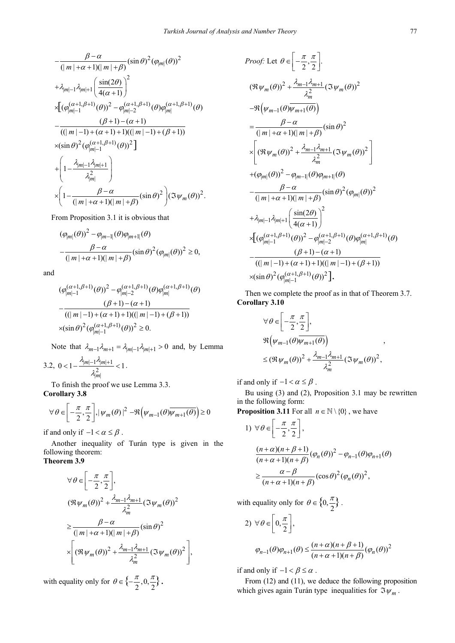$$
-\frac{\beta-\alpha}{(|m|+\alpha+1)(|m|+\beta)}(\sin\theta)^{2}(\varphi_{|m|}(\theta))^{2}
$$
  
+  $\lambda_{|m|-1}\lambda_{|m|+1}\left(\frac{\sin(2\theta)}{4(\alpha+1)}\right)^{2}$   

$$
\times \left[ (\varphi_{|m|-1}^{(\alpha+1,\beta+1)}(\theta))^{2} - \varphi_{|m|-2}^{(\alpha+1,\beta+1)}(\theta) \varphi_{|m|}^{(\alpha+1,\beta+1)}(\theta) \right]
$$
  

$$
-\frac{(\beta+1)-(\alpha+1)}{((|m|-1)+(\alpha+1)+1)((|m|-1)+(\beta+1))}
$$
  
 $\times (\sin\theta)^{2} (\varphi_{|m|-1}^{(\alpha+1,\beta+1)}(\theta))^{2}$   
+ 
$$
\left(1-\frac{\lambda_{|m|-1}\lambda_{|m|+1}}{\lambda_{|m|}^{2}}\right)
$$
  

$$
\times \left(1-\frac{\beta-\alpha}{(|m|+\alpha+1)(|m|+\beta)}(\sin\theta)^{2}\right)(\Im\psi_{m}(\theta))^{2}.
$$

From Proposition 3.1 it is obvious that

$$
(\varphi_{|m|}(\theta))^{2} - \varphi_{|m-1|}(\theta)\varphi_{|m+1|}(\theta)
$$
  

$$
-\frac{\beta-\alpha}{(|m|+\alpha+1)(|m|+\beta)}(\sin \theta)^{2}(\varphi_{|m|}(\theta))^{2} \ge 0,
$$

and

$$
\begin{aligned} &(\varphi_{|m|-1}^{(\alpha+1,\beta+1)}(\theta))^2 - \varphi_{|m|-2}^{(\alpha+1,\beta+1)}(\theta)\varphi_{|m|}^{(\alpha+1,\beta+1)}(\theta)\\ &-\frac{(\beta+1)-(\alpha+1)}{((|m|-1)+(\alpha+1)+1)((|m|-1)+(\beta+1))}\\ &\times(\sin\theta)^2(\varphi_{|m|-1}^{(\alpha+1,\beta+1)}(\theta))^2\geq 0. \end{aligned}
$$

Note that  $\lambda_{m-1} \lambda_{m+1} = \lambda_{|m|-1} \lambda_{|m|+1} > 0$  and, by Lemma

3.2, 
$$
0 < 1 - \frac{\lambda_{|m|-1} \lambda_{|m|+1}}{\lambda_{|m|}^2} < 1
$$
.

To finish the proof we use Lemma 3.3. **Corollary 3.8**

$$
\forall \theta \in \left[ -\frac{\pi}{2}, \frac{\pi}{2} \right], |\psi_m(\theta)|^2 - \Re \left( \psi_{m-1}(\theta) \overline{\psi_{m+1}(\theta)} \right) \ge 0
$$

if and only if  $-1 < \alpha \leq \beta$ .

Another inequality of Turán type is given in the following theorem:

**Theorem 3.9**

$$
\forall \theta \in \left[ -\frac{\pi}{2}, \frac{\pi}{2} \right],
$$
  
\n
$$
(\Re \psi_m(\theta))^2 + \frac{\lambda_{m-1}\lambda_{m+1}}{\lambda_m^2} (\Im \psi_m(\theta))^2
$$
  
\n
$$
\geq \frac{\beta - \alpha}{(\vert m \vert + \alpha + 1)(\vert m \vert + \beta)} (\sin \theta)^2
$$
  
\n
$$
\times \left[ (\Re \psi_m(\theta))^2 + \frac{\lambda_{m-1}\lambda_{m+1}}{\lambda_m^2} (\Im \psi_m(\theta))^2 \right],
$$

with equality only for  $\theta \in \left\{-\frac{\pi}{2}, 0, \frac{\pi}{2}\right\}.$ 

Proof: Let 
$$
\theta \in \left[-\frac{\pi}{2}, \frac{\pi}{2}\right]
$$
.  
\n
$$
(\Re \psi_m(\theta))^2 + \frac{\lambda_{m-1}\lambda_{m+1}}{\lambda_m^2} (\Im \psi_m(\theta))^2
$$
\n
$$
-\Re \left(\psi_{m-1}(\theta)\overline{\psi_{m+1}(\theta)}\right)
$$
\n
$$
= \frac{\beta - \alpha}{(\vert m \vert + \alpha + 1)(\vert m \vert + \beta)} (\sin \theta)^2
$$
\n
$$
\times \left[ (\Re \psi_m(\theta))^2 + \frac{\lambda_{m-1}\lambda_{m+1}}{\lambda_m^2} (\Im \psi_m(\theta))^2 \right]
$$
\n
$$
+ (\varphi_{|m|}(\theta))^2 - \varphi_{|m-1|}(\theta) \varphi_{|m+1|}(\theta)
$$
\n
$$
- \frac{\beta - \alpha}{(\vert m \vert + \alpha + 1)(\vert m \vert + \beta)} (\sin \theta)^2 (\varphi_{|m|}(\theta))^2
$$
\n
$$
+ \lambda_{|m| - 1}\lambda_{|m| + 1} \left( \frac{\sin(2\theta)}{4(\alpha + 1)} \right)^2
$$
\n
$$
\times \left[ (\varphi_{|m| - 1}^{(\alpha + 1, \beta + 1)}(\theta))^2 - \varphi_{|m| - 2}^{(\alpha + 1, \beta + 1)}(\theta) \varphi_{|m|}^{(\alpha + 1, \beta + 1)}(\theta) - \frac{(\beta + 1) - (\alpha + 1)}{((\vert m \vert - 1) + (\alpha + 1) + 1)((\vert m \vert - 1) + (\beta + 1))} \right]
$$
\n
$$
\times (\sin \theta)^2 (\varphi_{|m| - 1}^{(\alpha + 1, \beta + 1)}(\theta))^2 \Big].
$$

Then we complete the proof as in that of Theorem 3.7. **Corollary 3.10**

$$
\forall \theta \in \left[ -\frac{\pi}{2}, \frac{\pi}{2} \right],
$$
  
\n
$$
\Re \left( \psi_{m-1}(\theta) \overline{\psi_{m+1}(\theta)} \right)
$$
  
\n
$$
\leq (\Re \psi_m(\theta))^2 + \frac{\lambda_{m-1} \lambda_{m+1}}{\lambda_m^2} (\Im \psi_m(\theta))^2,
$$

,

if and only if  $-1 < \alpha \leq \beta$ .

Bu using (3) and (2), Proposition 3.1 may be rewritten in the following form:

**Proposition 3.11** For all  $n \in \mathbb{N} \setminus \{0\}$ , we have

1) 
$$
\forall \theta \in \left[-\frac{\pi}{2}, \frac{\pi}{2}\right],
$$
  
\n
$$
\frac{(n+\alpha)(n+\beta+1)}{(n+\alpha+1)(n+\beta)} (\varphi_n(\theta))^2 - \varphi_{n-1}(\theta)\varphi_{n+1}(\theta)
$$
\n
$$
\geq \frac{\alpha-\beta}{(n+\alpha+1)(n+\beta)} (\cos \theta)^2 (\varphi_n(\theta))^2,
$$

with equality only for  $\theta \in \left\{0, \frac{\pi}{2}\right\}$ .

2) 
$$
\forall \theta \in \left[0, \frac{\pi}{2}\right],
$$
  

$$
\varphi_{n-1}(\theta)\varphi_{n+1}(\theta) \leq \frac{(n+\alpha)(n+\beta+1)}{(n+\alpha+1)(n+\beta)}(\varphi_n(\theta))^2
$$

if and only if  $-1 < \beta \leq \alpha$ .

From (12) and (11), we deduce the following proposition which gives again Turán type inequalities for  $\mathfrak{I}\psi_m$ .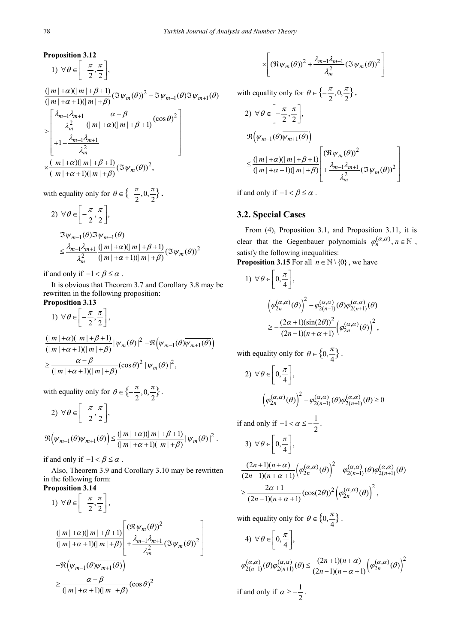**Proposition 3.12**

1) 
$$
\forall \theta \in \left[ -\frac{\pi}{2}, \frac{\pi}{2} \right],
$$
  
\n
$$
\frac{(\vert m \vert + \alpha)(\vert m \vert + \beta + 1)}{(\vert m \vert + \alpha + 1)(\vert m \vert + \beta)} (\Im \psi_m(\theta))^2 - \Im \psi_{m-1}(\theta) \Im \psi_{m+1}(\theta)
$$
  
\n
$$
\geq \begin{bmatrix} \frac{\lambda_{m-1}\lambda_{m+1}}{\lambda_m^2} & \frac{\alpha - \beta}{(\vert m \vert + \alpha)(\vert m \vert + \beta + 1)} (\cos \theta)^2 \\ +1 - \frac{\lambda_{m-1}\lambda_{m+1}}{\lambda_m^2} & \\ \times \frac{(\vert m \vert + \alpha)(\vert m \vert + \beta + 1)}{(\vert m \vert + \alpha + 1)(\vert m \vert + \beta)} (\Im \psi_m(\theta))^2, \end{bmatrix}
$$

with equality only for  $\theta \in \left\{-\frac{\pi}{2}, 0, \frac{\pi}{2}\right\}.$ 

$$
2) \forall \theta \in \left[-\frac{\pi}{2}, \frac{\pi}{2}\right],
$$
  
\n
$$
\Im \psi_{m-1}(\theta) \Im \psi_{m+1}(\theta)
$$
  
\n
$$
\leq \frac{\lambda_{m-1} \lambda_{m+1}}{\lambda_m^2} \frac{(|m| + \alpha)(|m| + \beta + 1)}{(|m| + \alpha + 1)(|m| + \beta)} (\Im \psi_m(\theta))^2
$$

if and only if  $-1 < \beta \leq \alpha$ .

It is obvious that Theorem 3.7 and Corollary 3.8 may be rewritten in the following proposition:

**Proposition 3.13**

1) 
$$
\forall \theta \in \left[-\frac{\pi}{2}, \frac{\pi}{2}\right],
$$
  
\n
$$
\frac{(|m| + \alpha)(|m| + \beta + 1)}{(|m| + \alpha + 1)(|m| + \beta)} |\psi_m(\theta)|^2 - \Re(\psi_{m-1}(\theta)\overline{\psi_{m+1}(\theta)})
$$
\n
$$
\geq \frac{\alpha - \beta}{(|m| + \alpha + 1)(|m| + \beta)} (\cos \theta)^2 |\psi_m(\theta)|^2,
$$

with equality only for  $\theta \in \left\{-\frac{\pi}{2}, 0, \frac{\pi}{2}\right\}$ .

2) 
$$
\forall \theta \in \left[-\frac{\pi}{2}, \frac{\pi}{2}\right],
$$
  

$$
\Re(\psi_{m-1}(\theta)\overline{\psi_{m+1}(\theta)}) \leq \frac{(|m| + \alpha)(|m| + \beta + 1)}{(|m| + \alpha + 1)(|m| + \beta)} |\psi_m(\theta)|^2.
$$

if and only if  $-1 < \beta \leq \alpha$ .

Also, Theorem 3.9 and Corollary 3.10 may be rewritten in the following form:

**Proposition 3.14**

1) 
$$
\forall \theta \in \left[ -\frac{\pi}{2}, \frac{\pi}{2} \right],
$$
  
\n
$$
\frac{(\vert m \vert + \alpha)(\vert m \vert + \beta + 1)}{(\vert m \vert + \alpha + 1)(\vert m \vert + \beta)} \left[ \frac{(\Re \psi_m(\theta))^2}{\lambda_m^2} (\Im \psi_m(\theta))^2 \right]
$$
  
\n
$$
-\Re \left( \psi_{m-1}(\theta) \overline{\psi_{m+1}(\theta)} \right)
$$
  
\n
$$
\geq \frac{\alpha - \beta}{(\vert m \vert + \alpha + 1)(\vert m \vert + \beta)} (\cos \theta)^2
$$

$$
\times \left[ \left( \Re \, \psi_m(\theta) \right)^2 + \frac{\lambda_{m-1} \lambda_{m+1}}{\lambda_m^2} \left( \Im \, \psi_m(\theta) \right)^2 \, \right]
$$

with equality only for  $\theta \in \left\{-\frac{\pi}{2}, 0, \frac{\pi}{2}\right\}.$ 

2) 
$$
\forall \theta \in \left[-\frac{\pi}{2}, \frac{\pi}{2}\right],
$$
  
\n
$$
\Re(\psi_{m-1}(\theta)\overline{\psi_{m+1}(\theta)})
$$
\n
$$
\leq \frac{(|m| + \alpha)(|m| + \beta + 1)}{(|m| + \alpha + 1)(|m| + \beta)} \left[\frac{(\Re \psi_m(\theta))^2}{\lambda_{m}^2} (\Im \psi_m(\theta))^2\right]
$$

if and only if  $-1 < \beta \leq \alpha$ .

#### **3.2. Special Cases**

From (4), Proposition 3.1, and Proposition 3.11, it is clear that the Gegenbauer polynomials  $\varphi_n^{(\alpha,\alpha)}, n \in \mathbb{N}$ , satisfy the following inequalities:

**Proposition 3.15** For all 
$$
n \in \mathbb{N} \setminus \{0\}
$$
, we have

1) 
$$
\forall \theta \in \left[0, \frac{\pi}{4}\right],
$$
  
\n
$$
\left(\varphi_{2n}^{(\alpha,\alpha)}(\theta)\right)^2 - \varphi_{2(n-1)}^{(\alpha,\alpha)}(\theta)\varphi_{2(n+1)}^{(\alpha,\alpha)}(\theta)
$$
\n
$$
\geq -\frac{(2\alpha+1)(\sin(2\theta))^2}{(2n-1)(n+\alpha+1)}\left(\varphi_{2n}^{(\alpha,\alpha)}(\theta)\right)^2,
$$

with equality only for  $\theta \in \left\{0, \frac{\pi}{4}\right\}$ .

2) 
$$
\forall \theta \in \left[0, \frac{\pi}{4}\right],
$$
  

$$
\left(\varphi_{2n}^{(\alpha,\alpha)}(\theta)\right)^2 - \varphi_{2(n-1)}^{(\alpha,\alpha)}(\theta)\varphi_{2(n+1)}^{(\alpha,\alpha)}(\theta) \ge 0
$$

if and only if  $-1 < \alpha \le -\frac{1}{2}$ .

3) 
$$
\forall \theta \in \left[0, \frac{\pi}{4}\right],
$$
  
\n
$$
\frac{(2n+1)(n+\alpha)}{(2n-1)(n+\alpha+1)} \left(\varphi_{2n}^{(\alpha,\alpha)}(\theta)\right)^2 - \varphi_{2(n-1)}^{(\alpha,\alpha)}(\theta)\varphi_{2(n+1)}^{(\alpha,\alpha)}(\theta)
$$
  
\n
$$
\geq \frac{2\alpha+1}{(2n-1)(n+\alpha+1)} (\cos(2\theta))^2 \left(\varphi_{2n}^{(\alpha,\alpha)}(\theta)\right)^2,
$$

with equality only for  $\theta \in \left\{0, \frac{\pi}{4}\right\}$ .

4) 
$$
\forall \theta \in \left[0, \frac{\pi}{4}\right],
$$
  
\n
$$
\varphi_{2(n-1)}^{(\alpha,\alpha)}(\theta)\varphi_{2(n+1)}^{(\alpha,\alpha)}(\theta) \le \frac{(2n+1)(n+\alpha)}{(2n-1)(n+\alpha+1)} \left(\varphi_{2n}^{(\alpha,\alpha)}(\theta)\right)^2
$$
\nif and only if  $\alpha \ge -\frac{1}{2}$ .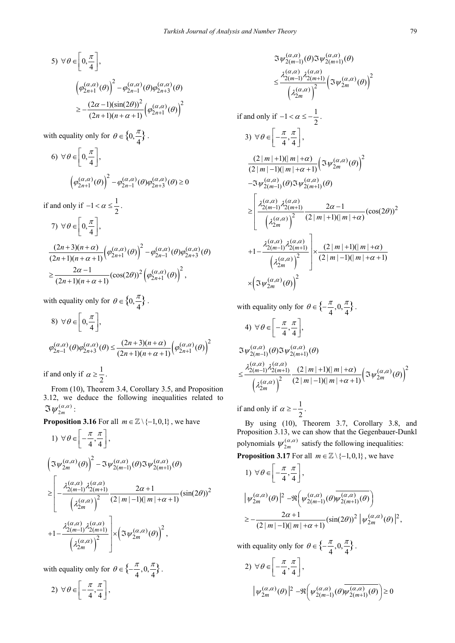5) 
$$
\forall \theta \in \left[0, \frac{\pi}{4}\right],
$$

$$
\left(\varphi_{2n+1}^{(\alpha,\alpha)}(\theta)\right)^2 - \varphi_{2n-1}^{(\alpha,\alpha)}(\theta)\varphi_{2n+3}^{(\alpha,\alpha)}(\theta)
$$

$$
\geq -\frac{(2\alpha-1)(\sin(2\theta))^2}{(2n+1)(n+\alpha+1)}\left(\varphi_{2n+1}^{(\alpha,\alpha)}(\theta)\right)^2
$$

with equality only for  $\theta \in \left\{0, \frac{\pi}{4}\right\}$ .

6) 
$$
\forall \theta \in \left[0, \frac{\pi}{4}\right],
$$
  

$$
\left(\varphi_{2n+1}^{(\alpha,\alpha)}(\theta)\right)^2 - \varphi_{2n-1}^{(\alpha,\alpha)}(\theta)\varphi_{2n+3}^{(\alpha,\alpha)}(\theta) \ge 0
$$

if and only if  $-1 < \alpha \leq \frac{1}{2}$ .

7) 
$$
\forall \theta \in \left[0, \frac{\pi}{4}\right],
$$
  

$$
\frac{(2n+3)(n+\alpha)}{(2n+1)(n+\alpha+1)} \left(\varphi_{2n+1}^{(\alpha,\alpha)}(\theta)\right)^2 - \varphi_{2n-1}^{(\alpha,\alpha)}(\theta)\varphi_{2n+3}^{(\alpha,\alpha)}(\theta)
$$

$$
\geq \frac{2\alpha-1}{(2n+1)(n+\alpha+1)} (\cos(2\theta))^2 \left(\varphi_{2n+1}^{(\alpha,\alpha)}(\theta)\right)^2,
$$

with equality only for  $\theta \in \left\{0, \frac{\pi}{4}\right\}$ .

8) 
$$
\forall \theta \in \left[0, \frac{\pi}{4}\right],
$$
  

$$
\varphi_{2n-1}^{(\alpha,\alpha)}(\theta)\varphi_{2n+3}^{(\alpha,\alpha)}(\theta) \le \frac{(2n+3)(n+\alpha)}{(2n+1)(n+\alpha+1)} \left(\varphi_{2n+1}^{(\alpha,\alpha)}(\theta)\right)^2
$$

if and only if  $\alpha \ge \frac{1}{2}$ .

From (10), Theorem 3.4, Corollary 3.5, and Proposition 3.12, we deduce the following inequalities related to  $(\alpha,\alpha)$  $\mathfrak{I}\mathfrak{\psi}_{2m}^{(\alpha,\alpha)}$  :

**Proposition 3.16** For all  $m \in \mathbb{Z} \setminus \{-1,0,1\}$ , we have

1) 
$$
\forall \theta \in \left[ -\frac{\pi}{4}, \frac{\pi}{4} \right],
$$

$$
\left( \Im \psi_{2m}^{(\alpha,\alpha)}(\theta) \right)^2 - \Im \psi_{2(m-1)}^{(\alpha,\alpha)}(\theta) \Im \psi_{2(m+1)}^{(\alpha,\alpha)}(\theta)
$$

$$
\geq \left[ -\frac{\lambda_{2(m-1)}^{(\alpha,\alpha)} \lambda_{2(m+1)}^{(\alpha,\alpha)}}{\left( \lambda_{2m}^{(\alpha,\alpha)} \right)^2} \frac{2\alpha+1}{(2|m|-1)(|m|+\alpha+1)} (\sin(2\theta))^2 +1 - \frac{\lambda_{2(m-1)}^{(\alpha,\alpha)} \lambda_{2(m+1)}^{(\alpha,\alpha)}}{\left( \lambda_{2m}^{(\alpha,\alpha)} \right)^2} \right] \times \left( \Im \psi_{2m}^{(\alpha,\alpha)}(\theta) \right)^2,
$$

with equality only for  $\theta \in \left\{-\frac{\pi}{4}, 0, \frac{\pi}{4}\right\}$ .

$$
2) \ \forall \theta \in \left[-\frac{\pi}{4}, \frac{\pi}{4}\right],
$$

$$
\Im \psi_{2(m-1)}^{(\alpha,\alpha)}(\theta) \Im \psi_{2(m+1)}^{(\alpha,\alpha)}(\theta)
$$
\n
$$
\leq \frac{\lambda_{2(m-1)}^{(\alpha,\alpha)}\lambda_{2(m+1)}^{(\alpha,\alpha)}}{\lambda_{2m}^{(\alpha,\alpha)}} \Big(\Im \psi_{2m}^{(\alpha,\alpha)}(\theta)\Big)^2
$$
\nif and only if  $-1 < \alpha \leq -\frac{1}{2}$ .\n3)  $\forall \theta \in \left[-\frac{\pi}{4}, \frac{\pi}{4}\right]$ ,\n
$$
\frac{(2|m|+1)(|m|+\alpha)}{(2|m|-1)(|m|+\alpha+1)} \Big(\Im \psi_{2m}^{(\alpha,\alpha)}(\theta)\Big)^2
$$
\n
$$
-\Im \psi_{2(m-1)}^{(\alpha,\alpha)}(\theta) \Im \psi_{2(m+1)}^{(\alpha,\alpha)}(\theta)
$$
\n
$$
\geq \left[\frac{\lambda_{2(m-1)}^{(\alpha,\alpha)}\lambda_{2(m+1)}^{(\alpha,\alpha)}}{\lambda_{2m}^{(\alpha,\alpha)}\lambda_{2(m+1)}^{(\alpha,\alpha)}} \frac{2\alpha-1}{(2|m|+1)(|m|+\alpha)} (\cos(2\theta))^2 + 1 - \frac{\lambda_{2(m-1)}^{(\alpha,\alpha)}\lambda_{2(m+1)}^{(\alpha,\alpha)}}{\lambda_{2m}^{(\alpha,\alpha)}\lambda_{2(m+1)}^{(\alpha,\alpha)}} \Big| \times \frac{(2|m|+1)(|m|+\alpha)}{(2|m|+1)(|m|+\alpha+1)}
$$
\n
$$
\times \left(\Im \psi_{2m}^{(\alpha,\alpha)}(\theta)\right)^2
$$

with equality only for  $\theta \in \left\{-\frac{\pi}{4}, 0, \frac{\pi}{4}\right\}$ .

4) 
$$
\forall \theta \in \left[ -\frac{\pi}{4}, \frac{\pi}{4} \right],
$$
  
\n
$$
\Im \psi_{2(m-1)}^{(\alpha, \alpha)}(\theta) \Im \psi_{2(m+1)}^{(\alpha, \alpha)}(\theta)
$$
  
\n
$$
\leq \frac{\lambda_{2(m-1)}^{(\alpha, \alpha)} \lambda_{2(m+1)}^{(\alpha, \alpha)} (2 |m| + 1)(|m| + \alpha)}{(\lambda_{2m}^{(\alpha, \alpha)})^2} \frac{(2 |m| + 1)(|m| + \alpha)}{(2 |m| - 1)(|m| + \alpha + 1)} \Big( \Im \psi_{2m}^{(\alpha, \alpha)}(\theta) \Big)^2
$$

if and only if  $\alpha \geq -\frac{1}{2}$ .

By using (10), Theorem 3.7, Corollary 3.8, and Proposition 3.13, we can show that the Gegenbauer-Dunkl polynomials  $\psi_{2m}^{(\alpha,\alpha)}$  satisfy the following inequalities:

**Proposition 3.17** For all  $m \in \mathbb{Z} \setminus \{-1,0,1\}$ , we have

1) 
$$
\forall \theta \in \left[-\frac{\pi}{4}, \frac{\pi}{4}\right]
$$
,  
\n
$$
|\psi_{2m}^{(\alpha,\alpha)}(\theta)|^2 - \Re\left(\psi_{2(m-1)}^{(\alpha,\alpha)}(\theta)\overline{\psi_{2(m+1)}^{(\alpha,\alpha)}(\theta)}\right)
$$
\n
$$
\geq -\frac{2\alpha+1}{(2|m|-1)(|m|+\alpha+1)}(\sin(2\theta))^2 | \psi_{2m}^{(\alpha,\alpha)}(\theta)|^2,
$$

with equality only for  $\theta \in \left\{-\frac{\pi}{4}, 0, \frac{\pi}{4}\right\}$ .

2) 
$$
\forall \theta \in \left[-\frac{\pi}{4}, \frac{\pi}{4}\right],
$$
  
\n
$$
|\psi_{2m}^{(\alpha,\alpha)}(\theta)|^2 - \Re\left(\psi_{2(m-1)}^{(\alpha,\alpha)}(\theta)\overline{\psi_{2(m+1)}^{(\alpha,\alpha)}(\theta)}\right) \ge 0
$$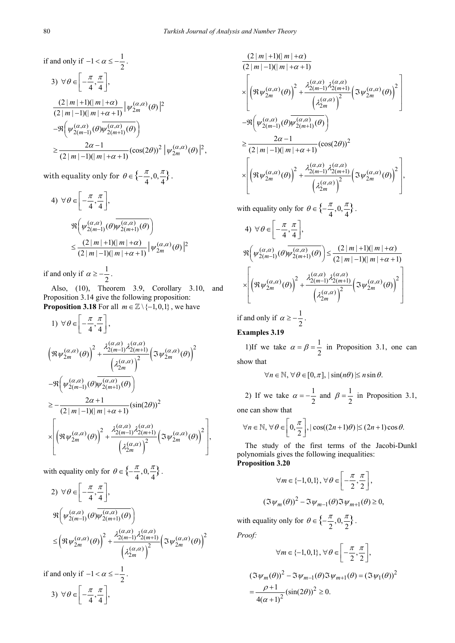if and only if 
$$
-1 < \alpha \le -\frac{1}{2}
$$
.  
\n3)  $\forall \theta \in \left[-\frac{\pi}{4}, \frac{\pi}{4}\right]$ ,  
\n
$$
\frac{(2|m|+1)(|m|+\alpha)}{(2|m|-1)(|m|+\alpha+1)} |\psi_{2m}^{(\alpha,\alpha)}(\theta)|^2
$$
\n
$$
-\Re\left(\psi_{2(m-1)}^{(\alpha,\alpha)}(\theta)\psi_{2(m+1)}^{(\alpha,\alpha)}(\theta)\right)
$$
\n
$$
\ge \frac{2\alpha-1}{(2|m|-1)(|m|+\alpha+1)}(\cos(2\theta))^2 |\psi_{2m}^{(\alpha,\alpha)}(\theta)|^2,
$$

with equality only for  $\theta \in \left\{-\frac{\pi}{4}, 0, \frac{\pi}{4}\right\}.$ 

4) 
$$
\forall \theta \in \left[ -\frac{\pi}{4}, \frac{\pi}{4} \right],
$$
  

$$
\Re \left( \psi_{2(m-1)}^{(\alpha,\alpha)}(\theta) \overline{\psi_{2(m+1)}^{(\alpha,\alpha)}(\theta)} \right)
$$
  

$$
\leq \frac{(2|m|+1)(|m|+\alpha)}{(2|m|-1)(|m|+\alpha+1)} |\psi_{2m}^{(\alpha,\alpha)}(\theta)|^2
$$

if and only if  $\alpha \geq -\frac{1}{2}$ .

Also, (10), Theorem 3.9, Corollary 3.10, and Proposition 3.14 give the following proposition: **Proposition 3.18** For all  $m \in \mathbb{Z} \setminus \{-1,0,1\}$ , we have

1) 
$$
\forall \theta \in \left[ -\frac{\pi}{4}, \frac{\pi}{4} \right],
$$
  
\n
$$
\left( \Re \psi_{2m}^{(\alpha,\alpha)}(\theta) \right)^2 + \frac{\lambda_{2(m-1)}^{(\alpha,\alpha)} \lambda_{2(m+1)}^{(\alpha,\alpha)}}{\left( \lambda_{2m}^{(\alpha,\alpha)} \right)^2} \left( \Im \psi_{2m}^{(\alpha,\alpha)}(\theta) \right)^2
$$
  
\n
$$
- \Re \left( \psi_{2(m-1)}^{(\alpha,\alpha)}(\theta) \psi_{2(m+1)}^{(\alpha,\alpha)}(\theta) \right)
$$
  
\n
$$
\geq -\frac{2\alpha + 1}{(2|m|-1)(|m| + \alpha + 1)} (\sin(2\theta))^2
$$
  
\n
$$
\times \left[ \left( \Re \psi_{2m}^{(\alpha,\alpha)}(\theta) \right)^2 + \frac{\lambda_{2(m-1)}^{(\alpha,\alpha)} \lambda_{2(m+1)}^{(\alpha,\alpha)}}{\left( \lambda_{2m}^{(\alpha,\alpha)} \right)^2} \left( \Im \psi_{2m}^{(\alpha,\alpha)}(\theta) \right)^2 \right],
$$

with equality only for 
$$
\theta \in \left\{-\frac{\pi}{4}, 0, \frac{\pi}{4}\right\}
$$
.  
\n2)  $\forall \theta \in \left[-\frac{\pi}{4}, \frac{\pi}{4}\right]$ ,  
\n $\Re\left(\psi_{2(m-1)}^{(\alpha,\alpha)}(\theta)\overline{\psi_{2(m+1)}^{(\alpha,\alpha)}(\theta)}\right)$   
\n $\leq \left(\Re \psi_{2m}^{(\alpha,\alpha)}(\theta)\right)^2 + \frac{\lambda_{2(m-1)}^{(\alpha,\alpha)}\lambda_{2(m+1)}^{(\alpha,\alpha)}}{\left(\lambda_{2m}^{(\alpha,\alpha)}\right)^2} \left(\Im \psi_{2m}^{(\alpha,\alpha)}(\theta)\right)^2$   
\nif and only if  $-1 < \alpha \leq -\frac{1}{2}$ .

3)  $\forall \theta \in \left[-\frac{\pi}{4}, \frac{\pi}{4}\right],$ 

$$
\begin{aligned}&\frac{(2|m|+1)(|m|+\alpha)}{(2|m|-1)(|m|+\alpha+1)}\\&\times\Bigg[\Big(\Re\psi_{2m}^{(\alpha,\alpha)}(\theta)\Big)^2+\frac{\lambda_{2(m-1)}^{(\alpha,\alpha)}\lambda_{2(m+1)}^{(\alpha,\alpha)}}{\Big(\lambda_{2m}^{(\alpha,\alpha)}\Big)^2}\Big(\Im\psi_{2m}^{(\alpha,\alpha)}(\theta)\Big)^2\Bigg]\\&-\Re\Big(\psi_{2(m-1)}^{(\alpha,\alpha)}(\theta)\overline{\psi_{2(m+1)}^{(\alpha,\alpha)}(\theta)}\Big)\\&\geq\frac{2\alpha-1}{(2|m|-1)(|m|+\alpha+1)}(\cos(2\theta))^2\\&\times\Bigg[\Big(\Re\psi_{2m}^{(\alpha,\alpha)}(\theta)\Big)^2+\frac{\lambda_{2(m-1)}^{(\alpha,\alpha)}\lambda_{2(m+1)}^{(\alpha,\alpha)}}{\Big(\lambda_{2m}^{(\alpha,\alpha)}\Big)^2}\Big(\Im\psi_{2m}^{(\alpha,\alpha)}(\theta)\Big)^2\Bigg],\end{aligned}
$$

with equality only for  $\theta \in \left\{-\frac{\pi}{4}, 0, \frac{\pi}{4}\right\}$ .

4) 
$$
\forall \theta \in \left[ -\frac{\pi}{4}, \frac{\pi}{4} \right],
$$

$$
\Re \left( \psi_{2(m-1)}^{(\alpha,\alpha)}(\theta) \overline{\psi_{2(m+1)}^{(\alpha,\alpha)}(\theta)} \right) \le \frac{(2|m|+1)(|m|+\alpha)}{(2|m|-1)(|m|+\alpha+1)}
$$

$$
\times \left[ \left( \Re \psi_{2m}^{(\alpha,\alpha)}(\theta) \right)^2 + \frac{\lambda_{2(m-1)}^{(\alpha,\alpha)}\lambda_{2(m+1)}^{(\alpha,\alpha)}}{\left( \lambda_{2m}^{(\alpha,\alpha)} \right)^2} \left( \Im \psi_{2m}^{(\alpha,\alpha)}(\theta) \right)^2 \right]
$$

if and only if  $\alpha \geq -\frac{1}{2}$ .

# **Examples 3.19**

1)If we take  $\alpha = \beta = \frac{1}{2}$  in Proposition 3.1, one can show that

$$
\forall n \in \mathbb{N}, \forall \theta \in [0, \pi], |\sin(n\theta)| \leq n \sin \theta.
$$

2) If we take  $\alpha = -\frac{1}{2}$  and  $\beta = \frac{1}{2}$  in Proposition 3.1,

one can show that

$$
\forall n \in \mathbb{N}, \forall \theta \in \left[0, \frac{\pi}{2}\right], |\cos((2n+1)\theta)| \le (2n+1)\cos\theta.
$$

The study of the first terms of the Jacobi-Dunkl polynomials gives the following inequalities: **Proposition 3.20**

$$
\forall m \in \{-1, 0, 1\}, \forall \theta \in \left[-\frac{\pi}{2}, \frac{\pi}{2}\right],
$$
  

$$
\left(\Im \psi_m(\theta)\right)^2 - \Im \psi_{m-1}(\theta) \Im \psi_{m+1}(\theta) \ge 0,
$$

with equality only for  $\theta \in \left\{-\frac{\pi}{2}, 0, \frac{\pi}{2}\right\}$ .

*Proof:* 

$$
\forall m \in \{-1, 0, 1\}, \forall \theta \in \left[-\frac{\pi}{2}, \frac{\pi}{2}\right],
$$

$$
(\Im \psi_m(\theta))^2 - \Im \psi_{m-1}(\theta) \Im \psi_{m+1}(\theta) = (\Im \psi_1(\theta))^2
$$

$$
= \frac{\rho + 1}{4(\alpha + 1)^2} (\sin(2\theta))^2 \ge 0.
$$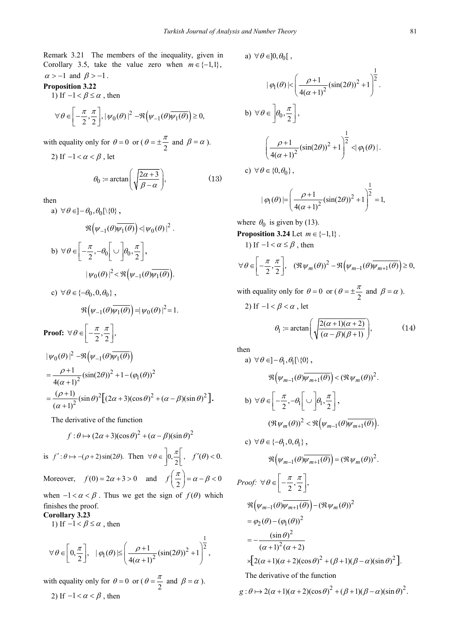Remark 3.21 The members of the inequality, given in Corollary 3.5, take the value zero when  $m \in \{-1,1\}$ ,  $\alpha$  > -1 and  $\beta$  > -1.

#### **Proposition 3.22**

1) If  $-1 < \beta \leq \alpha$ , then

$$
\forall \theta \in \left[ -\frac{\pi}{2}, \frac{\pi}{2} \right], |\psi_0(\theta)|^2 - \Re \left( \psi_{-1}(\theta) \overline{\psi_1(\theta)} \right) \ge 0,
$$

with equality only for  $\theta = 0$  or  $(\theta = \pm \frac{\pi}{2}$  and  $\beta = \alpha$ ).

2) If 
$$
-1 < \alpha < \beta
$$
, let

$$
\theta_0 := \arctan\left(\sqrt{\frac{2\alpha + 3}{\beta - \alpha}}\right),\tag{13}
$$

then

a) 
$$
\forall \theta \in ]-\theta_0, \theta_0[\setminus\{0\},]
$$
  
\n
$$
\mathfrak{R}(\psi_{-1}(\theta)\overline{\psi_1(\theta)}) < |\psi_0(\theta)|^2.
$$
  
\nb)  $\forall \theta \in [-\frac{\pi}{2}, -\theta_0[\cup]\theta_0, \frac{\pi}{2}],$   
\n
$$
|\psi_0(\theta)|^2 < \mathfrak{R}(\psi_{-1}(\theta)\overline{\psi_1(\theta)}).
$$

c) 
$$
\forall \theta \in \{-\theta_0, 0, \theta_0\}
$$
,  

$$
\mathfrak{R}(\psi_{-1}(\theta)\overline{\psi_1(\theta)}) = |\psi_0(\theta)|^2 = 1.
$$

Proof: 
$$
\forall \theta \in \left[-\frac{\pi}{2}, \frac{\pi}{2}\right],
$$
  
\n
$$
|\psi_0(\theta)|^2 - \Re(\psi_{-1}(\theta)\overline{\psi_1(\theta)})
$$
\n
$$
= \frac{\rho + 1}{4(\alpha + 1)^2} (\sin(2\theta))^2 + 1 - (\varphi_1(\theta))^2
$$
\n
$$
= \frac{(\rho + 1)}{(\alpha + 1)^2} (\sin \theta)^2 \left[ (2\alpha + 3)(\cos \theta)^2 + (\alpha - \beta)(\sin \theta)^2 \right].
$$

The derivative of the function

$$
f: \theta \mapsto (2\alpha + 3)(\cos \theta)^2 + (\alpha - \beta)(\sin \theta)^2
$$

is  $f' : \theta \mapsto -(\rho + 2) \sin(2\theta)$ . Then  $\forall \theta \in \left] 0, \frac{\pi}{2} \right[$ ,  $\forall \theta \in \left] 0, \frac{\pi}{2} \right[ , \quad f'(\theta) < 0.$ Moreover,  $f(0) = 2\alpha + 3 > 0$  and  $f\left(\frac{\pi}{2}\right) = \alpha - \beta < 0$ when  $-1 < \alpha < \beta$ . Thus we get the sign of  $f(\theta)$  which

finishes the proof.

**Corollary 3.23**

1) If  $-1 < \beta \leq \alpha$ , then

$$
\forall \theta \in \left[0, \frac{\pi}{2}\right], \quad |\varphi_1(\theta)| \leq \left(\frac{\rho+1}{4(\alpha+1)^2}(\sin(2\theta))^2 + 1\right)^{\frac{1}{2}},
$$

with equality only for  $\theta = 0$  or  $(\theta = \frac{\pi}{2}$  and  $\beta = \alpha$ ). 2) If  $-1 < \alpha < \beta$ , then

a) 
$$
\forall \theta \in ]0, \theta_0[
$$
,

$$
|\varphi_1(\theta)| \le \left(\frac{\rho+1}{4(\alpha+1)^2} (\sin(2\theta))^2 + 1\right)^{\frac{1}{2}}.
$$
  
b)  $\forall \theta \in \left] \theta_0, \frac{\pi}{2} \right],$   

$$
\left(\frac{\rho+1}{4(\alpha+1)^2} (\sin(2\theta))^2 + 1\right)^{\frac{1}{2}} < |\varphi_1(\theta)|.
$$
  
c)  $\forall \theta \in \{0, \theta_0\},$ 

$$
|\varphi_1(\theta)| = \left(\frac{\rho + 1}{4(\alpha + 1)^2} (\sin(2\theta))^2 + 1\right)^2 = 1,
$$

where  $\theta_0$  is given by (13).

**Proposition 3.24** Let  $m \in \{-1, 1\}$ . 1) If  $-1 < \alpha \leq \beta$ , then

$$
\forall \theta \in \left[-\frac{\pi}{2}, \frac{\pi}{2}\right], \quad (\Re \psi_m(\theta))^2 - \Re \left(\psi_{m-1}(\theta) \overline{\psi_{m+1}(\theta)}\right) \ge 0,
$$

with equality only for  $\theta = 0$  or  $(\theta = \pm \frac{\pi}{2}$  and  $\beta = \alpha$ ). 2) If  $-1 < \beta < \alpha$ , let

$$
\theta_1 = \arctan\left(\sqrt{\frac{2(\alpha+1)(\alpha+2)}{(\alpha-\beta)(\beta+1)}}\right),\tag{14}
$$

then

a) 
$$
\forall \theta \in ]-\theta_1, \theta_1[\setminus \{0\},
$$
  
\n $\mathfrak{R}(\psi_{m-1}(\theta)\overline{\psi_{m+1}(\theta)}) < (\mathfrak{R}\psi_m(\theta))^2$ .  
\nb)  $\forall \theta \in [-\frac{\pi}{2}, -\theta_1[\cup] \theta_1, \frac{\pi}{2}],$   
\n $(\mathfrak{R}\psi_m(\theta))^2 < \mathfrak{R}(\psi_{m-1}(\theta)\overline{\psi_{m+1}(\theta)}).$   
\nc)  $\forall \theta \in \{-\theta_1, 0, \theta_1\},$   
\n $\mathfrak{R}(\psi_{m-1}(\theta)\overline{\psi_{m+1}(\theta)}) = (\mathfrak{R}\psi_m(\theta))^2$ .  
\nProof:  $\forall \theta \in [-\frac{\pi}{2}, \frac{\pi}{2}],$   
\n $\mathfrak{R}(\psi_{m-1}(\theta)\overline{\psi_{m+1}(\theta)}) - (\mathfrak{R}\psi_m(\theta))^2$   
\n $= \varphi_2(\theta) - (\varphi_1(\theta))^2$   
\n $= -\frac{(\sin \theta)^2}{(\alpha + 1)^2(\alpha + 2)}$   
\n $\times [2(\alpha + 1)(\alpha + 2)(\cos \theta)^2 + (\beta + 1)(\beta - \alpha)(\sin \theta)^2].$ 

The derivative of the function

$$
g: \theta \mapsto 2(\alpha+1)(\alpha+2)(\cos \theta)^2 + (\beta+1)(\beta-\alpha)(\sin \theta)^2.
$$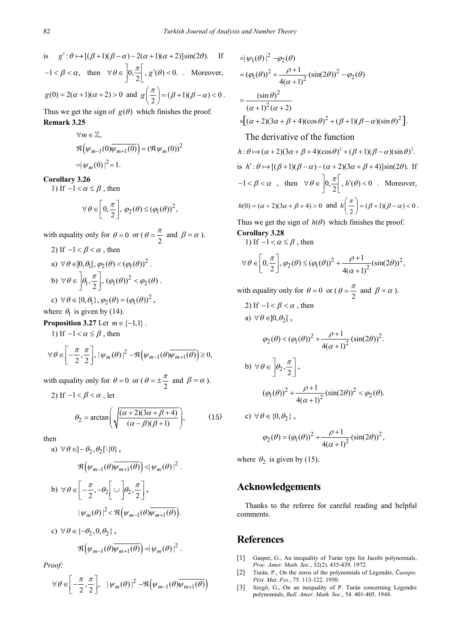is 
$$
g': \theta \mapsto [(\beta+1)(\beta-\alpha)-2(\alpha+1)(\alpha+2)]\sin(2\theta)
$$
. If  
\n $-1 < \beta < \alpha$ , then  $\forall \theta \in [0, \frac{\pi}{2}]$ ,  $g'(\theta) < 0$ . Moreover,  
\n $g(0) = 2(\alpha+1)(\alpha+2) > 0$  and  $g(\frac{\pi}{2}) = (\beta+1)(\beta-\alpha) < 0$ .  
\nThus we get the sign of  $g(\theta)$  which finishes the proof.

Thus we get the sign of  $g(\theta)$  which finishes the proof. **Remark 3.25**

$$
\forall m \in \mathbb{Z},
$$
  

$$
\mathfrak{R}(\psi_{m-1}(0)\overline{\psi_{m+1}(0)}) = (\mathfrak{R}\psi_m(0))^2
$$
  

$$
= |\psi_m(0)|^2 = 1.
$$

**Corollary 3.26**

1) If  $-1 < \alpha \le \beta$ , then

 $2)$  If  $\begin{pmatrix} 1 & 0 & 0 & 0 \\ 0 & 0 & 0 & 0 \\ 0 & 0 & 0 & 0 \end{pmatrix}$ 

$$
\forall \theta \in \left[0, \frac{\pi}{2}\right], \varphi_2(\theta) \leq (\varphi_1(\theta))^2,
$$

with equality only for  $\theta = 0$  or  $(\theta = \frac{\pi}{2}$  and  $\beta = \alpha$ ).

2) If 
$$
-1 < p < \alpha
$$
, then  
\na)  $\forall \theta \in ]0, \theta_1[, \varphi_2(\theta) < (\varphi_1(\theta))^2$ .  
\nb)  $\forall \theta \in ]\theta_1, \frac{\pi}{2}], (\varphi_1(\theta))^2 < \varphi_2(\theta)$ .

- c)  $\forall \theta \in \{0, \theta_1\}, \varphi_2(\theta) = (\varphi_1(\theta))^2$ , where  $\theta_1$  is given by (14).
- **Proposition 3.27** Let  $m \in \{-1, 1\}$ .

1) If  $-1 < \alpha \leq \beta$ , then

$$
\forall \theta \in \left[ -\frac{\pi}{2}, \frac{\pi}{2} \right], \left| \psi_m(\theta) \right|^2 - \Re \left( \psi_{m-1}(\theta) \overline{\psi_{m+1}(\theta)} \right) \ge 0,
$$

with equality only for  $\theta = 0$  or  $(\theta = \pm \frac{\pi}{2}$  and  $\beta = \alpha$ ).

2) If 
$$
-1 < \beta < \alpha
$$
, let

$$
\theta_2 = \arctan\left(\sqrt{\frac{(\alpha+2)(3\alpha+\beta+4)}{(\alpha-\beta)(\beta+1)}}\right),\tag{15}
$$

then

a) 
$$
\forall \theta \in ]-\theta_2, \theta_2[\setminus\{0\},]
$$
  
\n $\mathfrak{R}(\psi_{m-1}(\theta)\overline{\psi_{m+1}(\theta)}) < |\psi_m(\theta)|^2$ .  
\nb)  $\forall \theta \in [-\frac{\pi}{2}, -\theta_2[\cup] \theta_2, \frac{\pi}{2}],$   
\n $|\psi_m(\theta)|^2 < \mathfrak{R}(\psi_{m-1}(\theta)\overline{\psi_{m+1}(\theta)}).$   
\nc)  $\forall \theta \in \{-\theta_2, 0, \theta_2\},$ 

$$
\Re(\psi_{m-1}(\theta)\overline{\psi_{m+1}(\theta)}) = |\psi_m(\theta)|^2.
$$

*Proof:* 

$$
\forall \theta \in \left[ -\frac{\pi}{2}, \frac{\pi}{2} \right], \quad \left| \psi_m(\theta) \right|^2 - \Re \left( \psi_{m-1}(\theta) \overline{\psi_{m+1}(\theta)} \right)
$$

$$
= |\psi_1(\theta)|^2 - \varphi_2(\theta)
$$
  
\n
$$
= (\varphi_1(\theta))^2 + \frac{\rho+1}{4(\alpha+1)^2} (\sin(2\theta))^2 - \varphi_2(\theta)
$$
  
\n
$$
= \frac{(\sin \theta)^2}{(\alpha+1)^2 (\alpha+2)}
$$
  
\n
$$
\times [(\alpha+2)(3\alpha+\beta+4)(\cos \theta)^2 + (\beta+1)(\beta-\alpha)(\sin \theta)^2].
$$
  
\nThe derivative of the function  
\n
$$
h: \theta \mapsto (\alpha+2)(3\alpha+\beta+4)(\cos \theta)^2 + (\beta+1)(\beta-\alpha)(\sin \theta)^2.
$$
  
\nis  $h': \theta \mapsto [(\beta+1)(\beta-\alpha) - (\alpha+2)(3\alpha+\beta+4)]\sin(2\theta).$  If  
\n
$$
-1 < \beta < \alpha \text{ , then } \forall \theta \in ]0, \frac{\pi}{2}[, h'(\theta) < 0 \text{ . Moreover,}
$$
  
\n
$$
h(0) = (\alpha+2)(3\alpha+\beta+4) > 0 \text{ and } h(\frac{\pi}{2}) = (\beta+1)(\beta-\alpha) < 0.
$$
  
\nThus we get the sign of  $h(\theta)$  which finishes the proof.

**Corollary 3.28** 1) If  $-1 < \alpha \leq \beta$ , then

$$
\forall \theta \in \left[0, \frac{\pi}{2}\right], \varphi_2(\theta) \leq (\varphi_1(\theta))^2 + \frac{\rho + 1}{4(\alpha + 1)^2} (\sin(2\theta))^2,
$$

with equality only for  $\theta = 0$  or  $(\theta = \frac{\pi}{2}$  and  $\beta = \alpha$ ).

2) If 
$$
-1 < \beta < \alpha
$$
, then  
\na)  $\forall \theta \in ]0, \theta_2[$ ,  
\n
$$
\varphi_2(\theta) < (\varphi_1(\theta))^2 + \frac{\rho + 1}{4(\alpha + 1)^2} (\sin(2\theta))^2.
$$
\nb)  $\forall \theta \in ]\theta_2, \frac{\pi}{2}],$   
\n
$$
(\varphi_1(\theta))^2 + \frac{\rho + 1}{4(\alpha + 1)^2} (\sin(2\theta))^2 < \varphi_2(\theta).
$$
  
\nc)  $\forall \theta \in \{0, \theta_2\},$ 

$$
\varphi_2(\theta) = (\varphi_1(\theta))^2 + \frac{\rho + 1}{4(\alpha + 1)^2} (\sin(2\theta))^2,
$$

where  $\theta_2$  is given by (15).

# **Acknowledgements**

Thanks to the referee for careful reading and helpful comments.

## **References**

- <span id="page-10-0"></span>[1] Gasper, G., An inequality of Turán type for Jacobi polynomials, *Proc. Amer. Math. Soc.*, 32(2). 435-439. 1972.
- <span id="page-10-1"></span>[2] Turán, P., On the zeros of the polynomials of Legendre, Č*asopis. Pĕst. Mat. Fys.*, 75. 113-122. 1950.
- [3] Szegö, G., On an inequality of P. Turán concerning Legendre polynomials, *Bull. Amer. Math. Soc.*, 54. 401-405. 1948.